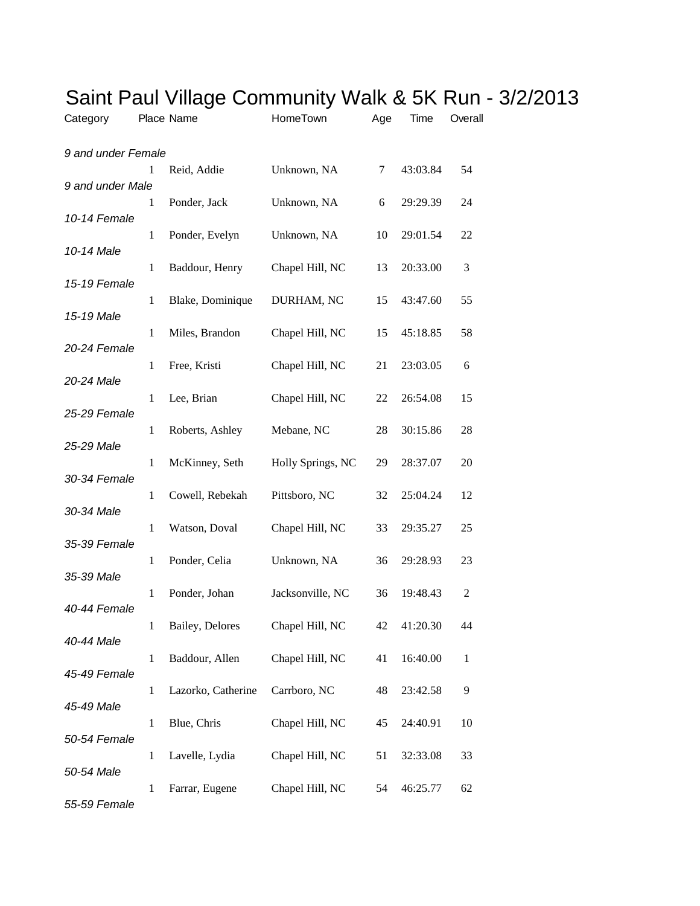| Category           |              | Place Name         | HomeTown          | Age | Time     | Overall      |
|--------------------|--------------|--------------------|-------------------|-----|----------|--------------|
| 9 and under Female |              |                    |                   |     |          |              |
| 9 and under Male   | 1            | Reid, Addie        | Unknown, NA       | 7   | 43:03.84 | 54           |
|                    | 1            | Ponder, Jack       | Unknown, NA       | 6   | 29:29.39 | 24           |
| 10-14 Female       | $\mathbf{1}$ | Ponder, Evelyn     | Unknown, NA       | 10  | 29:01.54 | 22           |
| 10-14 Male         | $\mathbf{1}$ | Baddour, Henry     | Chapel Hill, NC   | 13  | 20:33.00 | 3            |
| 15-19 Female       |              |                    |                   |     |          |              |
| 15-19 Male         | 1            | Blake, Dominique   | DURHAM, NC        | 15  | 43:47.60 | 55           |
| 20-24 Female       | $\mathbf{1}$ | Miles, Brandon     | Chapel Hill, NC   | 15  | 45:18.85 | 58           |
|                    | 1            | Free, Kristi       | Chapel Hill, NC   | 21  | 23:03.05 | 6            |
| 20-24 Male         | 1            | Lee, Brian         | Chapel Hill, NC   | 22  | 26:54.08 | 15           |
| 25-29 Female       | 1            | Roberts, Ashley    | Mebane, NC        | 28  | 30:15.86 | 28           |
| 25-29 Male         |              |                    |                   |     |          |              |
| 30-34 Female       | $\mathbf{1}$ | McKinney, Seth     | Holly Springs, NC | 29  | 28:37.07 | 20           |
| 30-34 Male         | $\mathbf{1}$ | Cowell, Rebekah    | Pittsboro, NC     | 32  | 25:04.24 | 12           |
|                    | $\mathbf{1}$ | Watson, Doval      | Chapel Hill, NC   | 33  | 29:35.27 | 25           |
| 35-39 Female       | 1            | Ponder, Celia      | Unknown, NA       | 36  | 29:28.93 | 23           |
| 35-39 Male         |              |                    |                   |     |          |              |
| 40-44 Female       | $\mathbf{1}$ | Ponder, Johan      | Jacksonville, NC  | 36  | 19:48.43 | 2            |
| 40-44 Male         | 1            | Bailey, Delores    | Chapel Hill, NC   | 42  | 41:20.30 | 44           |
|                    | $\mathbf{1}$ | Baddour, Allen     | Chapel Hill, NC   | 41  | 16:40.00 | $\mathbf{1}$ |
| 45-49 Female       | 1            | Lazorko, Catherine | Carrboro, NC      | 48  | 23:42.58 | 9            |
| 45-49 Male         | $\mathbf{1}$ | Blue, Chris        | Chapel Hill, NC   | 45  | 24:40.91 | 10           |
| 50-54 Female       |              |                    |                   |     |          |              |
| 50-54 Male         | 1            | Lavelle, Lydia     | Chapel Hill, NC   | 51  | 32:33.08 | 33           |
| 55-59 Female       | 1            | Farrar, Eugene     | Chapel Hill, NC   | 54  | 46:25.77 | 62           |

## Saint Paul Village Community Walk & 5K Run - 3/2/2013